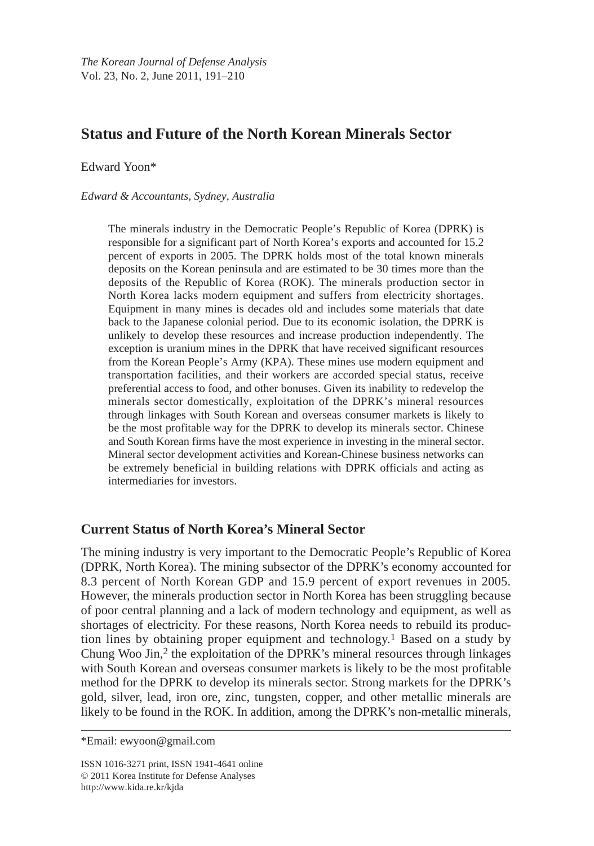# **Status and Future of the North Korean Minerals Sector**

Edward Yoon\*

#### *Edward & Accountants, Sydney, Australia*

The minerals industry in the Democratic People's Republic of Korea (DPRK) is responsible for a significant part of North Korea's exports and accounted for 15.2 percent of exports in 2005. The DPRK holds most of the total known minerals deposits on the Korean peninsula and are estimated to be 30 times more than the deposits of the Republic of Korea (ROK). The minerals production sector in North Korea lacks modern equipment and suffers from electricity shortages. Equipment in many mines is decades old and includes some materials that date back to the Japanese colonial period. Due to its economic isolation, the DPRK is unlikely to develop these resources and increase production independently. The exception is uranium mines in the DPRK that have received significant resources from the Korean People's Army (KPA). These mines use modern equipment and transportation facilities, and their workers are accorded special status, receive preferential access to food, and other bonuses. Given its inability to redevelop the minerals sector domestically, exploitation of the DPRK's mineral resources through linkages with South Korean and overseas consumer markets is likely to be the most profitable way for the DPRK to develop its minerals sector. Chinese and South Korean firms have the most experience in investing in the mineral sector. Mineral sector development activities and Korean-Chinese business networks can be extremely beneficial in building relations with DPRK officials and acting as intermediaries for investors.

# **Current Status of North Korea's Mineral Sector**

The mining industry is very important to the Democratic People's Republic of Korea (DPRK, North Korea). The mining subsector of the DPRK's economy accounted for 8.3 percent of North Korean GDP and 15.9 percent of export revenues in 2005. However, the minerals production sector in North Korea has been struggling because of poor central planning and a lack of modern technology and equipment, as well as shortages of electricity. For these reasons, North Korea needs to rebuild its production lines by obtaining proper equipment and technology.1 Based on a study by Chung Woo Jin,2 the exploitation of the DPRK's mineral resources through linkages with South Korean and overseas consumer markets is likely to be the most profitable method for the DPRK to develop its minerals sector. Strong markets for the DPRK's gold, silver, lead, iron ore, zinc, tungsten, copper, and other metallic minerals are likely to be found in the ROK. In addition, among the DPRK's non-metallic minerals,

<sup>\*</sup>Email: ewyoon@gmail.com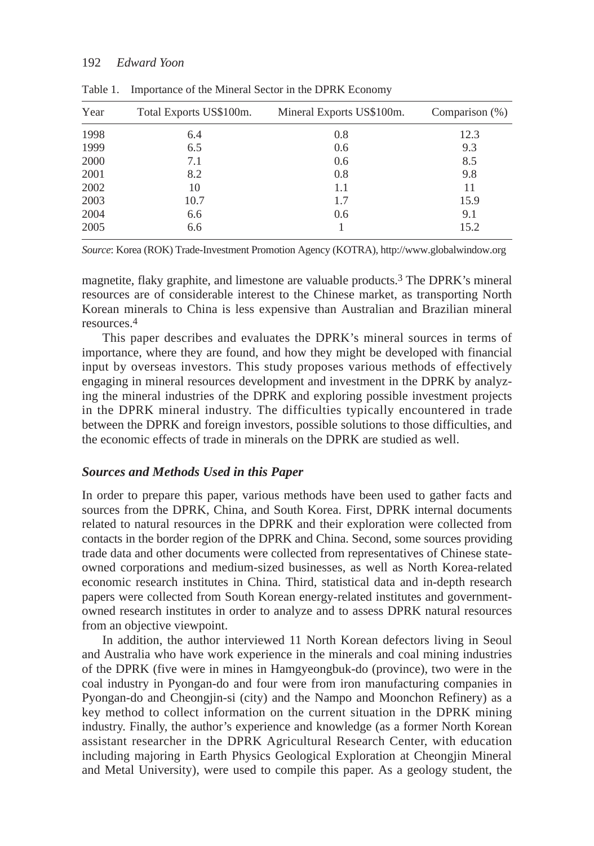| Year | Total Exports US\$100m. | Mineral Exports US\$100m. | Comparison $(\%)$ |
|------|-------------------------|---------------------------|-------------------|
| 1998 | 6.4                     | 0.8                       | 12.3              |
| 1999 | 6.5                     | 0.6                       | 9.3               |
| 2000 | 7.1                     | 0.6                       | 8.5               |
| 2001 | 8.2                     | 0.8                       | 9.8               |
| 2002 | 10                      | 1.1                       | 11                |
| 2003 | 10.7                    | 1.7                       | 15.9              |
| 2004 | 6.6                     | 0.6                       | 9.1               |
| 2005 | 6.6                     |                           | 15.2              |

Table 1. Importance of the Mineral Sector in the DPRK Economy

*Source*: Korea (ROK) Trade-Investment Promotion Agency (KOTRA), http://www.globalwindow.org

magnetite, flaky graphite, and limestone are valuable products.3 The DPRK's mineral resources are of considerable interest to the Chinese market, as transporting North Korean minerals to China is less expensive than Australian and Brazilian mineral resources.4

This paper describes and evaluates the DPRK's mineral sources in terms of importance, where they are found, and how they might be developed with financial input by overseas investors. This study proposes various methods of effectively engaging in mineral resources development and investment in the DPRK by analyzing the mineral industries of the DPRK and exploring possible investment projects in the DPRK mineral industry. The difficulties typically encountered in trade between the DPRK and foreign investors, possible solutions to those difficulties, and the economic effects of trade in minerals on the DPRK are studied as well.

### *Sources and Methods Used in this Paper*

In order to prepare this paper, various methods have been used to gather facts and sources from the DPRK, China, and South Korea. First, DPRK internal documents related to natural resources in the DPRK and their exploration were collected from contacts in the border region of the DPRK and China. Second, some sources providing trade data and other documents were collected from representatives of Chinese stateowned corporations and medium-sized businesses, as well as North Korea-related economic research institutes in China. Third, statistical data and in-depth research papers were collected from South Korean energy-related institutes and governmentowned research institutes in order to analyze and to assess DPRK natural resources from an objective viewpoint.

In addition, the author interviewed 11 North Korean defectors living in Seoul and Australia who have work experience in the minerals and coal mining industries of the DPRK (five were in mines in Hamgyeongbuk-do (province), two were in the coal industry in Pyongan-do and four were from iron manufacturing companies in Pyongan-do and Cheongjin-si (city) and the Nampo and Moonchon Refinery) as a key method to collect information on the current situation in the DPRK mining industry. Finally, the author's experience and knowledge (as a former North Korean assistant researcher in the DPRK Agricultural Research Center, with education including majoring in Earth Physics Geological Exploration at Cheongjin Mineral and Metal University), were used to compile this paper. As a geology student, the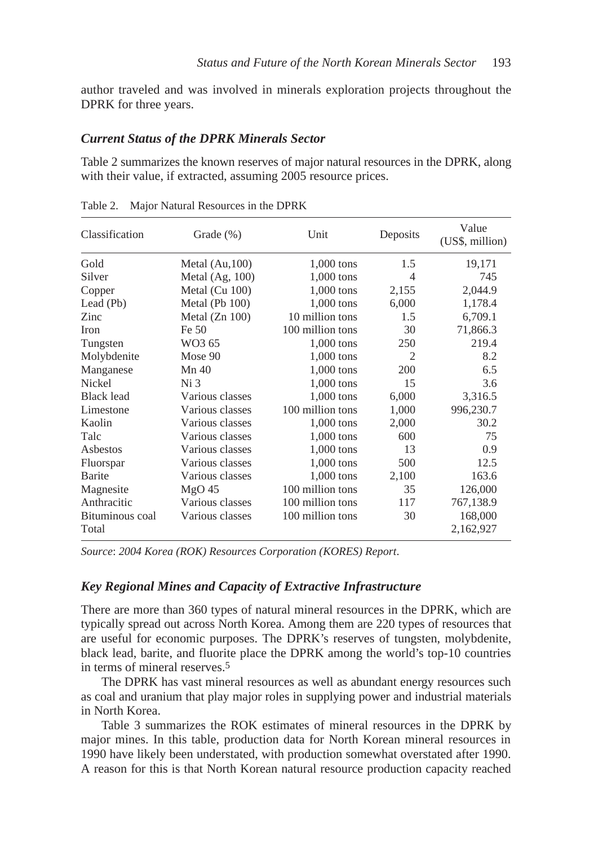author traveled and was involved in minerals exploration projects throughout the DPRK for three years.

#### *Current Status of the DPRK Minerals Sector*

Table 2 summarizes the known reserves of major natural resources in the DPRK, along with their value, if extracted, assuming 2005 resource prices.

| Classification    | Grade $(\% )$     | Unit             | Deposits | Value<br>(US\$, million) |
|-------------------|-------------------|------------------|----------|--------------------------|
| Gold              | Metal $(Au, 100)$ | $1,000$ tons     | 1.5      | 19,171                   |
| Silver            | Metal $(Ag, 100)$ | $1,000$ tons     | 4        | 745                      |
| Copper            | Metal $(Cu 100)$  | $1,000$ tons     | 2,155    | 2,044.9                  |
| Lead (Pb)         | Metal (Pb 100)    | $1,000$ tons     | 6,000    | 1,178.4                  |
| Zinc              | Metal $(Zn 100)$  | 10 million tons  | 1.5      | 6,709.1                  |
| <b>Iron</b>       | Fe 50             | 100 million tons | 30       | 71,866.3                 |
| Tungsten          | WO3 65            | $1,000$ tons     | 250      | 219.4                    |
| Molybdenite       | Mose 90           | 1,000 tons       | 2        | 8.2                      |
| Manganese         | Mn 40             | 1,000 tons       | 200      | 6.5                      |
| <b>Nickel</b>     | Ni <sub>3</sub>   | 1,000 tons       | 15       | 3.6                      |
| <b>Black lead</b> | Various classes   | $1,000$ tons     | 6,000    | 3,316.5                  |
| Limestone         | Various classes   | 100 million tons | 1,000    | 996,230.7                |
| Kaolin            | Various classes   | $1,000$ tons     | 2,000    | 30.2                     |
| Talc              | Various classes   | $1,000$ tons     | 600      | 75                       |
| Asbestos          | Various classes   | $1,000$ tons     | 13       | 0.9                      |
| Fluorspar         | Various classes   | $1,000$ tons     | 500      | 12.5                     |
| Barite            | Various classes   | $1,000$ tons     | 2,100    | 163.6                    |
| Magnesite         | $MgO$ 45          | 100 million tons | 35       | 126,000                  |
| Anthracitic       | Various classes   | 100 million tons | 117      | 767,138.9                |
| Bituminous coal   | Various classes   | 100 million tons | 30       | 168,000                  |
| Total             |                   |                  |          | 2,162,927                |

Table 2. Major Natural Resources in the DPRK

*Source*: *2004 Korea (ROK) Resources Corporation (KORES) Report*.

#### *Key Regional Mines and Capacity of Extractive Infrastructure*

There are more than 360 types of natural mineral resources in the DPRK, which are typically spread out across North Korea. Among them are 220 types of resources that are useful for economic purposes. The DPRK's reserves of tungsten, molybdenite, black lead, barite, and fluorite place the DPRK among the world's top-10 countries in terms of mineral reserves.5

The DPRK has vast mineral resources as well as abundant energy resources such as coal and uranium that play major roles in supplying power and industrial materials in North Korea.

Table 3 summarizes the ROK estimates of mineral resources in the DPRK by major mines. In this table, production data for North Korean mineral resources in 1990 have likely been understated, with production somewhat overstated after 1990. A reason for this is that North Korean natural resource production capacity reached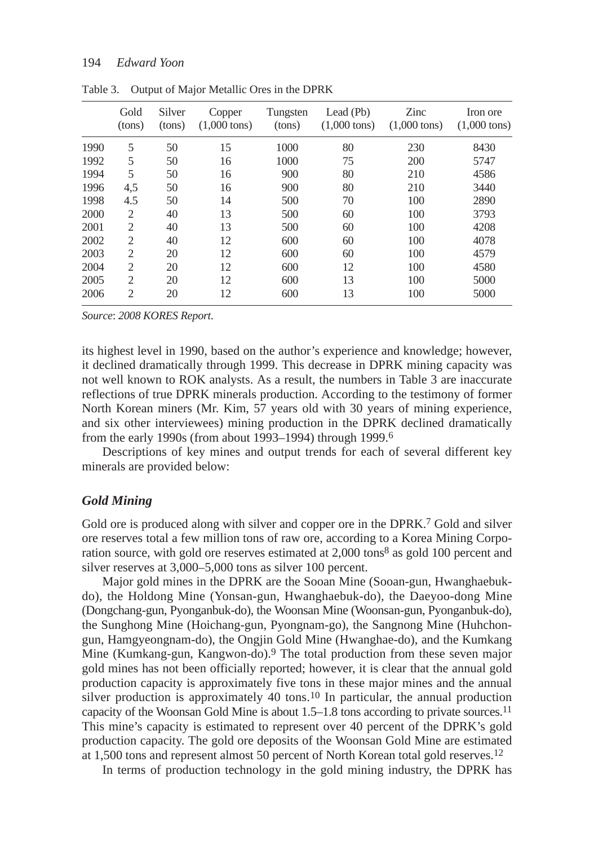|      | Gold<br>(tons) | Silver<br>(tons) | Copper<br>$(1,000 \text{ tons})$ | Tungsten<br>(tons) | Lead $(Pb)$<br>$(1,000 \text{ tons})$ | Zinc<br>$(1,000 \text{ tons})$ | Iron ore<br>$(1,000 \text{ tons})$ |
|------|----------------|------------------|----------------------------------|--------------------|---------------------------------------|--------------------------------|------------------------------------|
| 1990 | 5              | 50               | 15                               | 1000               | 80                                    | 230                            | 8430                               |
| 1992 | 5              | 50               | 16                               | 1000               | 75                                    | 200                            | 5747                               |
| 1994 | 5              | 50               | 16                               | 900                | 80                                    | 210                            | 4586                               |
| 1996 | 4,5            | 50               | 16                               | 900                | 80                                    | 210                            | 3440                               |
| 1998 | 4.5            | 50               | 14                               | 500                | 70                                    | 100                            | 2890                               |
| 2000 | $\overline{2}$ | 40               | 13                               | 500                | 60                                    | 100                            | 3793                               |
| 2001 | $\overline{2}$ | 40               | 13                               | 500                | 60                                    | 100                            | 4208                               |
| 2002 | $\overline{2}$ | 40               | 12                               | 600                | 60                                    | 100                            | 4078                               |
| 2003 | $\overline{2}$ | 20               | 12                               | 600                | 60                                    | 100                            | 4579                               |
| 2004 | 2              | 20               | 12                               | 600                | 12                                    | 100                            | 4580                               |
| 2005 | $\overline{2}$ | 20               | 12                               | 600                | 13                                    | 100                            | 5000                               |
| 2006 | $\overline{2}$ | 20               | 12                               | 600                | 13                                    | 100                            | 5000                               |
|      |                |                  |                                  |                    |                                       |                                |                                    |

Table 3. Output of Major Metallic Ores in the DPRK

*Source*: *2008 KORES Report*.

its highest level in 1990, based on the author's experience and knowledge; however, it declined dramatically through 1999. This decrease in DPRK mining capacity was not well known to ROK analysts. As a result, the numbers in Table 3 are inaccurate reflections of true DPRK minerals production. According to the testimony of former North Korean miners (Mr. Kim, 57 years old with 30 years of mining experience, and six other interviewees) mining production in the DPRK declined dramatically from the early 1990s (from about 1993–1994) through 1999.6

Descriptions of key mines and output trends for each of several different key minerals are provided below:

#### *Gold Mining*

Gold ore is produced along with silver and copper ore in the DPRK.<sup>7</sup> Gold and silver ore reserves total a few million tons of raw ore, according to a Korea Mining Corporation source, with gold ore reserves estimated at 2,000 tons<sup>8</sup> as gold 100 percent and silver reserves at 3,000–5,000 tons as silver 100 percent.

Major gold mines in the DPRK are the Sooan Mine (Sooan-gun, Hwanghaebukdo), the Holdong Mine (Yonsan-gun, Hwanghaebuk-do), the Daeyoo-dong Mine (Dongchang-gun, Pyonganbuk-do), the Woonsan Mine (Woonsan-gun, Pyonganbuk-do), the Sunghong Mine (Hoichang-gun, Pyongnam-go), the Sangnong Mine (Huhchongun, Hamgyeongnam-do), the Ongjin Gold Mine (Hwanghae-do), and the Kumkang Mine (Kumkang-gun, Kangwon-do).9 The total production from these seven major gold mines has not been officially reported; however, it is clear that the annual gold production capacity is approximately five tons in these major mines and the annual silver production is approximately 40 tons.<sup>10</sup> In particular, the annual production capacity of the Woonsan Gold Mine is about 1.5–1.8 tons according to private sources.11 This mine's capacity is estimated to represent over 40 percent of the DPRK's gold production capacity. The gold ore deposits of the Woonsan Gold Mine are estimated at 1,500 tons and represent almost 50 percent of North Korean total gold reserves.12

In terms of production technology in the gold mining industry, the DPRK has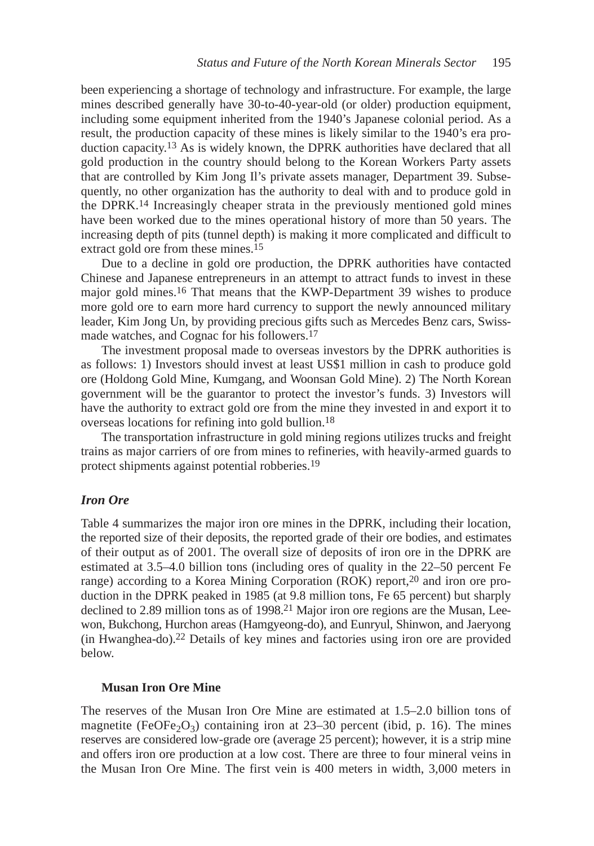been experiencing a shortage of technology and infrastructure. For example, the large mines described generally have 30-to-40-year-old (or older) production equipment, including some equipment inherited from the 1940's Japanese colonial period. As a result, the production capacity of these mines is likely similar to the 1940's era production capacity.<sup>13</sup> As is widely known, the DPRK authorities have declared that all gold production in the country should belong to the Korean Workers Party assets that are controlled by Kim Jong Il's private assets manager, Department 39. Subsequently, no other organization has the authority to deal with and to produce gold in the DPRK.14 Increasingly cheaper strata in the previously mentioned gold mines have been worked due to the mines operational history of more than 50 years. The increasing depth of pits (tunnel depth) is making it more complicated and difficult to extract gold ore from these mines.15

Due to a decline in gold ore production, the DPRK authorities have contacted Chinese and Japanese entrepreneurs in an attempt to attract funds to invest in these major gold mines.16 That means that the KWP-Department 39 wishes to produce more gold ore to earn more hard currency to support the newly announced military leader, Kim Jong Un, by providing precious gifts such as Mercedes Benz cars, Swissmade watches, and Cognac for his followers.17

The investment proposal made to overseas investors by the DPRK authorities is as follows: 1) Investors should invest at least US\$1 million in cash to produce gold ore (Holdong Gold Mine, Kumgang, and Woonsan Gold Mine). 2) The North Korean government will be the guarantor to protect the investor's funds. 3) Investors will have the authority to extract gold ore from the mine they invested in and export it to overseas locations for refining into gold bullion.18

The transportation infrastructure in gold mining regions utilizes trucks and freight trains as major carriers of ore from mines to refineries, with heavily-armed guards to protect shipments against potential robberies.19

### *Iron Ore*

Table 4 summarizes the major iron ore mines in the DPRK, including their location, the reported size of their deposits, the reported grade of their ore bodies, and estimates of their output as of 2001. The overall size of deposits of iron ore in the DPRK are estimated at 3.5–4.0 billion tons (including ores of quality in the 22–50 percent Fe range) according to a Korea Mining Corporation (ROK) report,20 and iron ore production in the DPRK peaked in 1985 (at 9.8 million tons, Fe 65 percent) but sharply declined to 2.89 million tons as of 1998.21 Major iron ore regions are the Musan, Leewon, Bukchong, Hurchon areas (Hamgyeong-do), and Eunryul, Shinwon, and Jaeryong (in Hwanghea-do).22 Details of key mines and factories using iron ore are provided below.

### **Musan Iron Ore Mine**

The reserves of the Musan Iron Ore Mine are estimated at 1.5–2.0 billion tons of magnetite (FeOFe<sub>2</sub>O<sub>3</sub>) containing iron at 23–30 percent (ibid, p. 16). The mines reserves are considered low-grade ore (average 25 percent); however, it is a strip mine and offers iron ore production at a low cost. There are three to four mineral veins in the Musan Iron Ore Mine. The first vein is 400 meters in width, 3,000 meters in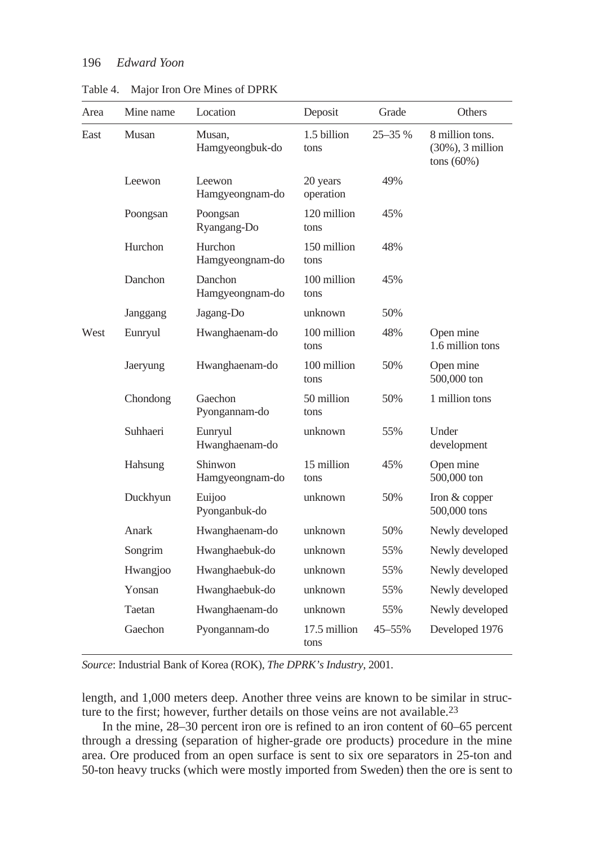| Area | Mine name | Location                          | Deposit               | Grade      | Others                                                   |
|------|-----------|-----------------------------------|-----------------------|------------|----------------------------------------------------------|
| East | Musan     | Musan,<br>Hamgyeongbuk-do         | 1.5 billion<br>tons   | $25 - 35%$ | 8 million tons.<br>$(30\%)$ , 3 million<br>tons $(60\%)$ |
|      | Leewon    | Leewon<br>Hamgyeongnam-do         | 20 years<br>operation | 49%        |                                                          |
|      | Poongsan  | Poongsan<br>Ryangang-Do           | 120 million<br>tons   | 45%        |                                                          |
|      | Hurchon   | <b>Hurchon</b><br>Hamgyeongnam-do | 150 million<br>tons   | 48%        |                                                          |
|      | Danchon   | Danchon<br>Hamgyeongnam-do        | 100 million<br>tons   | 45%        |                                                          |
|      | Janggang  | Jagang-Do                         | unknown               | 50%        |                                                          |
| West | Eunryul   | Hwanghaenam-do                    | 100 million<br>tons   | 48%        | Open mine<br>1.6 million tons                            |
|      | Jaeryung  | Hwanghaenam-do                    | 100 million<br>tons   | 50%        | Open mine<br>500,000 ton                                 |
|      | Chondong  | Gaechon<br>Pyongannam-do          | 50 million<br>tons    | 50%        | 1 million tons                                           |
|      | Suhhaeri  | Eunryul<br>Hwanghaenam-do         | unknown               | 55%        | Under<br>development                                     |
|      | Hahsung   | Shinwon<br>Hamgyeongnam-do        | 15 million<br>tons    | 45%        | Open mine<br>500,000 ton                                 |
|      | Duckhyun  | Euijoo<br>Pyonganbuk-do           | unknown               | 50%        | Iron & copper<br>500,000 tons                            |
|      | Anark     | Hwanghaenam-do                    | unknown               | 50%        | Newly developed                                          |
|      | Songrim   | Hwanghaebuk-do                    | unknown               | 55%        | Newly developed                                          |
|      | Hwangjoo  | Hwanghaebuk-do                    | unknown               | 55%        | Newly developed                                          |
|      | Yonsan    | Hwanghaebuk-do                    | unknown               | 55%        | Newly developed                                          |
|      | Taetan    | Hwanghaenam-do                    | unknown               | 55%        | Newly developed                                          |
|      | Gaechon   | Pyongannam-do                     | 17.5 million<br>tons  | 45-55%     | Developed 1976                                           |

Table 4. Major Iron Ore Mines of DPRK

*Source*: Industrial Bank of Korea (ROK), *The DPRK's Industry*, 2001.

length, and 1,000 meters deep. Another three veins are known to be similar in structure to the first; however, further details on those veins are not available.<sup>23</sup>

In the mine, 28–30 percent iron ore is refined to an iron content of 60–65 percent through a dressing (separation of higher-grade ore products) procedure in the mine area. Ore produced from an open surface is sent to six ore separators in 25-ton and 50-ton heavy trucks (which were mostly imported from Sweden) then the ore is sent to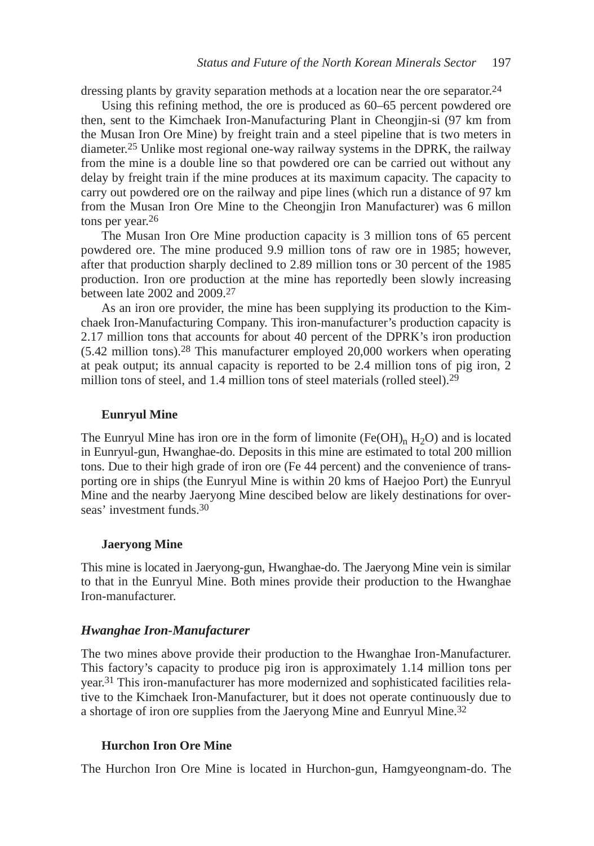dressing plants by gravity separation methods at a location near the ore separator.24

Using this refining method, the ore is produced as 60–65 percent powdered ore then, sent to the Kimchaek Iron-Manufacturing Plant in Cheongjin-si (97 km from the Musan Iron Ore Mine) by freight train and a steel pipeline that is two meters in diameter.25 Unlike most regional one-way railway systems in the DPRK, the railway from the mine is a double line so that powdered ore can be carried out without any delay by freight train if the mine produces at its maximum capacity. The capacity to carry out powdered ore on the railway and pipe lines (which run a distance of 97 km from the Musan Iron Ore Mine to the Cheongjin Iron Manufacturer) was 6 millon tons per year.26

The Musan Iron Ore Mine production capacity is 3 million tons of 65 percent powdered ore. The mine produced 9.9 million tons of raw ore in 1985; however, after that production sharply declined to 2.89 million tons or 30 percent of the 1985 production. Iron ore production at the mine has reportedly been slowly increasing between late 2002 and 2009.27

As an iron ore provider, the mine has been supplying its production to the Kimchaek Iron-Manufacturing Company. This iron-manufacturer's production capacity is 2.17 million tons that accounts for about 40 percent of the DPRK's iron production (5.42 million tons).28 This manufacturer employed 20,000 workers when operating at peak output; its annual capacity is reported to be 2.4 million tons of pig iron, 2 million tons of steel, and 1.4 million tons of steel materials (rolled steel).<sup>29</sup>

#### **Eunryul Mine**

The Eunryul Mine has iron ore in the form of limonite  $(Fe(OH)<sub>n</sub> H<sub>2</sub>O)$  and is located in Eunryul-gun, Hwanghae-do. Deposits in this mine are estimated to total 200 million tons. Due to their high grade of iron ore (Fe 44 percent) and the convenience of transporting ore in ships (the Eunryul Mine is within 20 kms of Haejoo Port) the Eunryul Mine and the nearby Jaeryong Mine descibed below are likely destinations for overseas' investment funds.30

#### **Jaeryong Mine**

This mine is located in Jaeryong-gun, Hwanghae-do. The Jaeryong Mine vein is similar to that in the Eunryul Mine. Both mines provide their production to the Hwanghae Iron-manufacturer.

#### *Hwanghae Iron-Manufacturer*

The two mines above provide their production to the Hwanghae Iron-Manufacturer. This factory's capacity to produce pig iron is approximately 1.14 million tons per year.31 This iron-manufacturer has more modernized and sophisticated facilities relative to the Kimchaek Iron-Manufacturer, but it does not operate continuously due to a shortage of iron ore supplies from the Jaeryong Mine and Eunryul Mine.32

#### **Hurchon Iron Ore Mine**

The Hurchon Iron Ore Mine is located in Hurchon-gun, Hamgyeongnam-do. The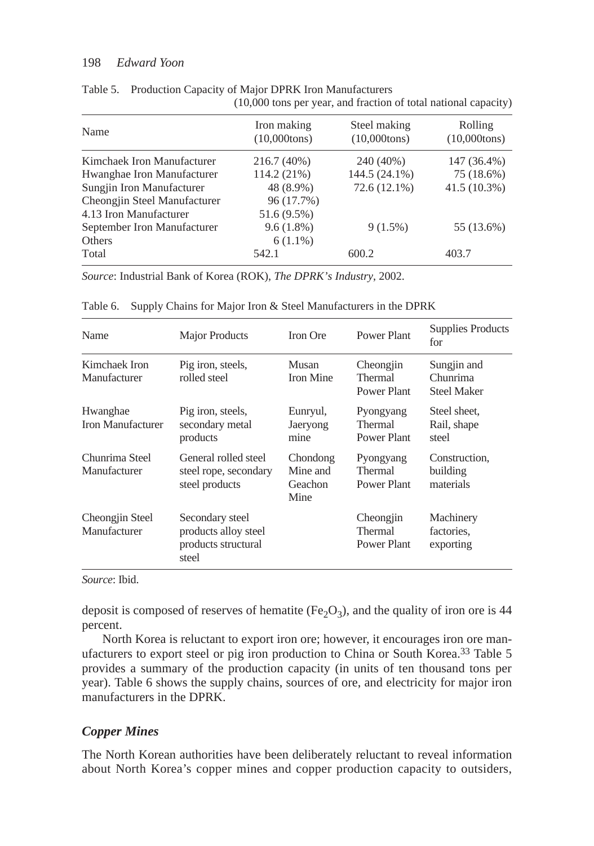| Name                         | Iron making<br>$(10,000$ tons) | Steel making<br>$(10,000$ tons) | Rolling<br>$(10,000$ tons) |
|------------------------------|--------------------------------|---------------------------------|----------------------------|
| Kimchaek Iron Manufacturer   | 216.7 (40%)                    | 240 (40%)                       | 147 (36.4%)                |
| Hwanghae Iron Manufacturer   | 114.2 (21%)                    | 144.5 (24.1%)                   | 75 (18.6%)                 |
| Sungjin Iron Manufacturer    | 48 (8.9%)                      | 72.6 (12.1%)                    | $41.5(10.3\%)$             |
| Cheongjin Steel Manufacturer | 96 (17.7%)                     |                                 |                            |
| 4.13 Iron Manufacturer       | 51.6 (9.5%)                    |                                 |                            |
| September Iron Manufacturer  | 9.6(1.8%)                      | $9(1.5\%)$                      | 55 (13.6%)                 |
| <b>Others</b>                | $6(1.1\%)$                     |                                 |                            |
| Total                        | 542.1                          | 600.2                           | 403.7                      |
|                              |                                |                                 |                            |

Table 5. Production Capacity of Major DPRK Iron Manufacturers (10,000 tons per year, and fraction of total national capacity)

*Source*: Industrial Bank of Korea (ROK), *The DPRK's Industry*, 2002.

| Name                                 | <b>Major Products</b>                                                   | <b>Iron Ore</b>                         | Power Plant                                | <b>Supplies Products</b><br>for               |
|--------------------------------------|-------------------------------------------------------------------------|-----------------------------------------|--------------------------------------------|-----------------------------------------------|
| Kimchaek Iron<br>Manufacturer        | Pig iron, steels,<br>rolled steel                                       | Musan<br>Iron Mine                      | Cheongjin<br>Thermal<br>Power Plant        | Sungjin and<br>Chunrima<br><b>Steel Maker</b> |
| Hwanghae<br><b>Iron Manufacturer</b> | Pig iron, steels,<br>secondary metal<br>products                        | Eunryul,<br>Jaeryong<br>mine            | Pyongyang<br><b>Thermal</b><br>Power Plant | Steel sheet,<br>Rail, shape<br>steel          |
| Chunrima Steel<br>Manufacturer       | General rolled steel<br>steel rope, secondary<br>steel products         | Chondong<br>Mine and<br>Geachon<br>Mine | Pyongyang<br>Thermal<br>Power Plant        | Construction.<br>building<br>materials        |
| Cheongjin Steel<br>Manufacturer      | Secondary steel<br>products alloy steel<br>products structural<br>steel |                                         | Cheongjin<br>Thermal<br>Power Plant        | Machinery<br>factories.<br>exporting          |

Table 6. Supply Chains for Major Iron & Steel Manufacturers in the DPRK

*Source*: Ibid.

deposit is composed of reserves of hematite (Fe<sub>2</sub>O<sub>3</sub>), and the quality of iron ore is 44 percent.

North Korea is reluctant to export iron ore; however, it encourages iron ore manufacturers to export steel or pig iron production to China or South Korea.33 Table 5 provides a summary of the production capacity (in units of ten thousand tons per year). Table 6 shows the supply chains, sources of ore, and electricity for major iron manufacturers in the DPRK.

# *Copper Mines*

The North Korean authorities have been deliberately reluctant to reveal information about North Korea's copper mines and copper production capacity to outsiders,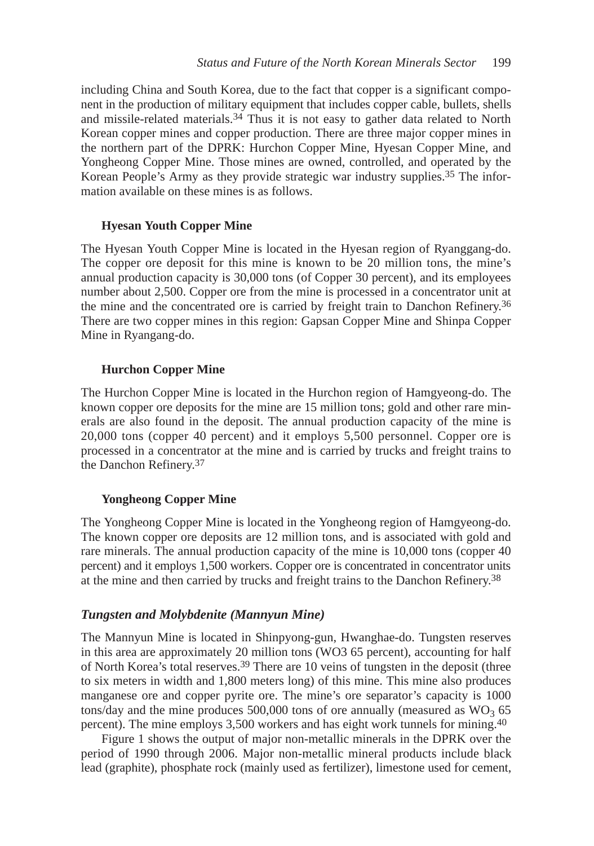including China and South Korea, due to the fact that copper is a significant component in the production of military equipment that includes copper cable, bullets, shells and missile-related materials.34 Thus it is not easy to gather data related to North Korean copper mines and copper production. There are three major copper mines in the northern part of the DPRK: Hurchon Copper Mine, Hyesan Copper Mine, and Yongheong Copper Mine. Those mines are owned, controlled, and operated by the Korean People's Army as they provide strategic war industry supplies.35 The information available on these mines is as follows.

### **Hyesan Youth Copper Mine**

The Hyesan Youth Copper Mine is located in the Hyesan region of Ryanggang-do. The copper ore deposit for this mine is known to be 20 million tons, the mine's annual production capacity is 30,000 tons (of Copper 30 percent), and its employees number about 2,500. Copper ore from the mine is processed in a concentrator unit at the mine and the concentrated ore is carried by freight train to Danchon Refinery.36 There are two copper mines in this region: Gapsan Copper Mine and Shinpa Copper Mine in Ryangang-do.

### **Hurchon Copper Mine**

The Hurchon Copper Mine is located in the Hurchon region of Hamgyeong-do. The known copper ore deposits for the mine are 15 million tons; gold and other rare minerals are also found in the deposit. The annual production capacity of the mine is 20,000 tons (copper 40 percent) and it employs 5,500 personnel. Copper ore is processed in a concentrator at the mine and is carried by trucks and freight trains to the Danchon Refinery.37

#### **Yongheong Copper Mine**

The Yongheong Copper Mine is located in the Yongheong region of Hamgyeong-do. The known copper ore deposits are 12 million tons, and is associated with gold and rare minerals. The annual production capacity of the mine is 10,000 tons (copper 40 percent) and it employs 1,500 workers. Copper ore is concentrated in concentrator units at the mine and then carried by trucks and freight trains to the Danchon Refinery.38

### *Tungsten and Molybdenite (Mannyun Mine)*

The Mannyun Mine is located in Shinpyong-gun, Hwanghae-do. Tungsten reserves in this area are approximately 20 million tons (WO3 65 percent), accounting for half of North Korea's total reserves.39 There are 10 veins of tungsten in the deposit (three to six meters in width and 1,800 meters long) of this mine. This mine also produces manganese ore and copper pyrite ore. The mine's ore separator's capacity is 1000 tons/day and the mine produces 500,000 tons of ore annually (measured as  $WO_3$  65 percent). The mine employs 3,500 workers and has eight work tunnels for mining.40

Figure 1 shows the output of major non-metallic minerals in the DPRK over the period of 1990 through 2006. Major non-metallic mineral products include black lead (graphite), phosphate rock (mainly used as fertilizer), limestone used for cement,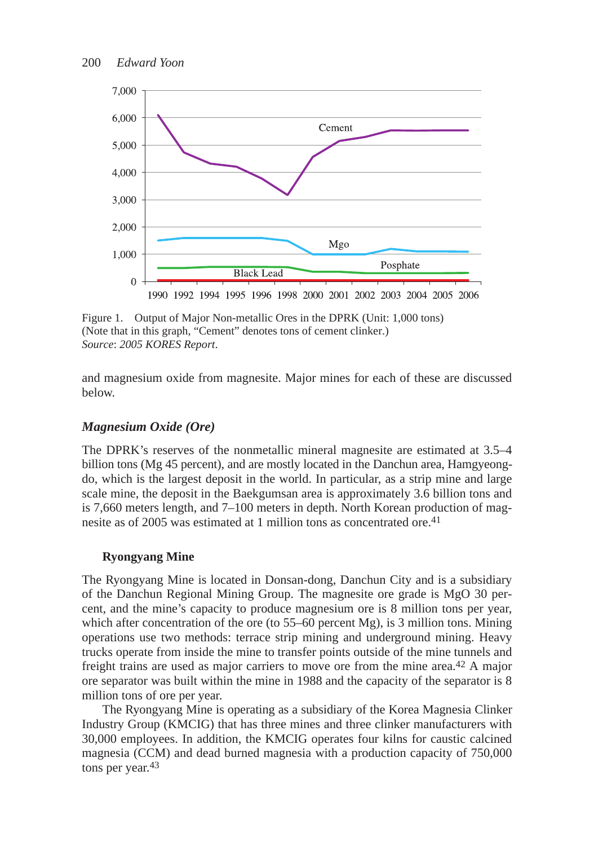

Figure 1. Output of Major Non-metallic Ores in the DPRK (Unit: 1,000 tons) (Note that in this graph, "Cement" denotes tons of cement clinker.) *Source*: *2005 KORES Report*.

and magnesium oxide from magnesite. Major mines for each of these are discussed below.

## *Magnesium Oxide (Ore)*

The DPRK's reserves of the nonmetallic mineral magnesite are estimated at 3.5–4 billion tons (Mg 45 percent), and are mostly located in the Danchun area, Hamgyeongdo, which is the largest deposit in the world. In particular, as a strip mine and large scale mine, the deposit in the Baekgumsan area is approximately 3.6 billion tons and is 7,660 meters length, and 7–100 meters in depth. North Korean production of magnesite as of 2005 was estimated at 1 million tons as concentrated ore.41

### **Ryongyang Mine**

The Ryongyang Mine is located in Donsan-dong, Danchun City and is a subsidiary of the Danchun Regional Mining Group. The magnesite ore grade is MgO 30 percent, and the mine's capacity to produce magnesium ore is 8 million tons per year, which after concentration of the ore (to  $55-60$  percent Mg), is 3 million tons. Mining operations use two methods: terrace strip mining and underground mining. Heavy trucks operate from inside the mine to transfer points outside of the mine tunnels and freight trains are used as major carriers to move ore from the mine area.42 A major ore separator was built within the mine in 1988 and the capacity of the separator is 8 million tons of ore per year.

The Ryongyang Mine is operating as a subsidiary of the Korea Magnesia Clinker Industry Group (KMCIG) that has three mines and three clinker manufacturers with 30,000 employees. In addition, the KMCIG operates four kilns for caustic calcined magnesia (CCM) and dead burned magnesia with a production capacity of 750,000 tons per year.<sup>43</sup>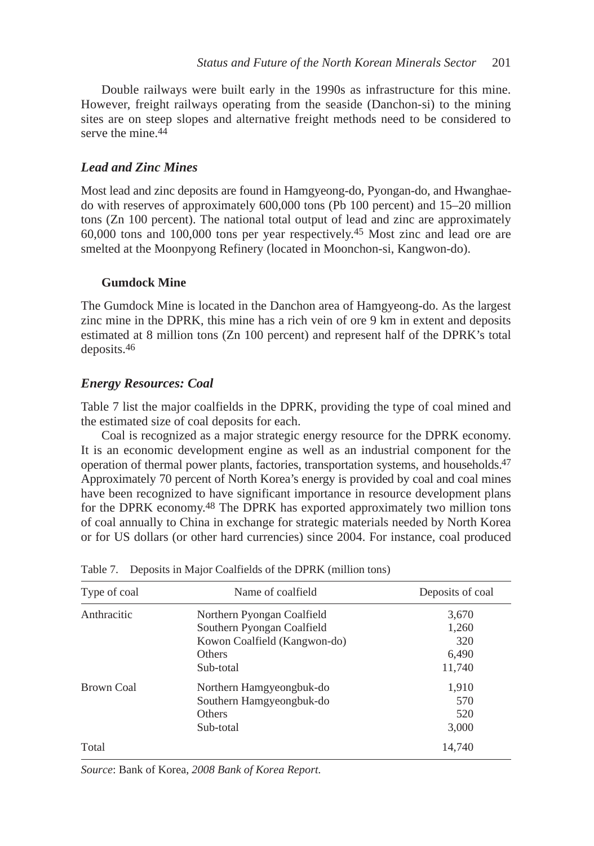Double railways were built early in the 1990s as infrastructure for this mine. However, freight railways operating from the seaside (Danchon-si) to the mining sites are on steep slopes and alternative freight methods need to be considered to serve the mine.<sup>44</sup>

## *Lead and Zinc Mines*

Most lead and zinc deposits are found in Hamgyeong-do, Pyongan-do, and Hwanghaedo with reserves of approximately 600,000 tons (Pb 100 percent) and 15–20 million tons (Zn 100 percent). The national total output of lead and zinc are approximately 60,000 tons and 100,000 tons per year respectively.45 Most zinc and lead ore are smelted at the Moonpyong Refinery (located in Moonchon-si, Kangwon-do).

### **Gumdock Mine**

The Gumdock Mine is located in the Danchon area of Hamgyeong-do. As the largest zinc mine in the DPRK, this mine has a rich vein of ore 9 km in extent and deposits estimated at 8 million tons (Zn 100 percent) and represent half of the DPRK's total deposits.46

### *Energy Resources: Coal*

Table 7 list the major coalfields in the DPRK, providing the type of coal mined and the estimated size of coal deposits for each.

Coal is recognized as a major strategic energy resource for the DPRK economy. It is an economic development engine as well as an industrial component for the operation of thermal power plants, factories, transportation systems, and households.47 Approximately 70 percent of North Korea's energy is provided by coal and coal mines have been recognized to have significant importance in resource development plans for the DPRK economy.48 The DPRK has exported approximately two million tons of coal annually to China in exchange for strategic materials needed by North Korea or for US dollars (or other hard currencies) since 2004. For instance, coal produced

| Type of coal | Name of coalfield            | Deposits of coal |
|--------------|------------------------------|------------------|
| Anthracitic  | Northern Pyongan Coalfield   | 3,670            |
|              | Southern Pyongan Coalfield   | 1,260            |
|              | Kowon Coalfield (Kangwon-do) | 320              |
|              | <b>Others</b>                | 6,490            |
|              | Sub-total                    | 11,740           |
| Brown Coal   | Northern Hamgyeongbuk-do     | 1,910            |
|              | Southern Hamgyeongbuk-do     | 570              |
|              | <b>Others</b>                | 520              |
|              | Sub-total                    | 3,000            |
| Total        |                              | 14,740           |

| Table 7. Deposits in Major Coalfields of the DPRK (million tons) |  |  |  |
|------------------------------------------------------------------|--|--|--|
|                                                                  |  |  |  |

*Source*: Bank of Korea, *2008 Bank of Korea Report.*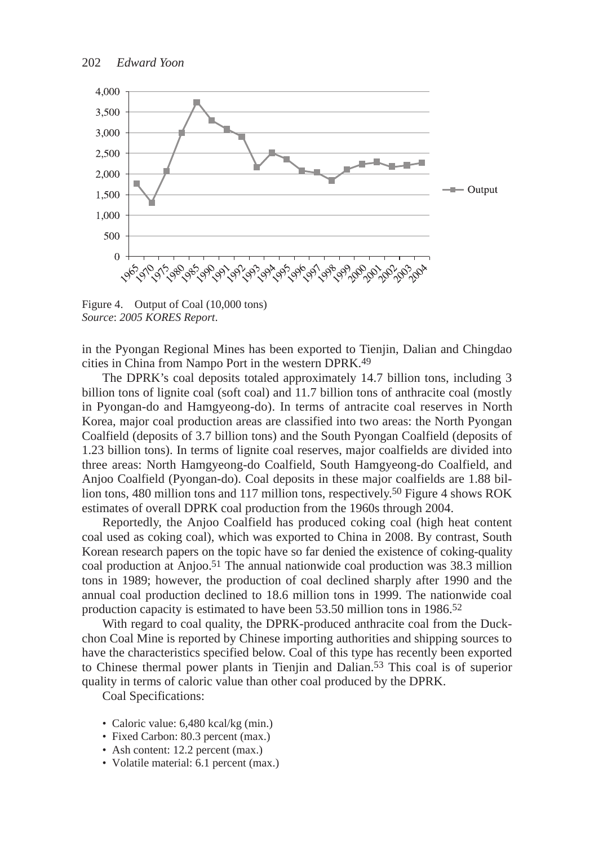

Figure 4. Output of Coal (10,000 tons) *Source*: *2005 KORES Report*.

in the Pyongan Regional Mines has been exported to Tienjin, Dalian and Chingdao cities in China from Nampo Port in the western DPRK.49

The DPRK's coal deposits totaled approximately 14.7 billion tons, including 3 billion tons of lignite coal (soft coal) and 11.7 billion tons of anthracite coal (mostly in Pyongan-do and Hamgyeong-do). In terms of antracite coal reserves in North Korea, major coal production areas are classified into two areas: the North Pyongan Coalfield (deposits of 3.7 billion tons) and the South Pyongan Coalfield (deposits of 1.23 billion tons). In terms of lignite coal reserves, major coalfields are divided into three areas: North Hamgyeong-do Coalfield, South Hamgyeong-do Coalfield, and Anjoo Coalfield (Pyongan-do). Coal deposits in these major coalfields are 1.88 billion tons, 480 million tons and 117 million tons, respectively.50 Figure 4 shows ROK estimates of overall DPRK coal production from the 1960s through 2004.

Reportedly, the Anjoo Coalfield has produced coking coal (high heat content coal used as coking coal), which was exported to China in 2008. By contrast, South Korean research papers on the topic have so far denied the existence of coking-quality coal production at Anjoo.51 The annual nationwide coal production was 38.3 million tons in 1989; however, the production of coal declined sharply after 1990 and the annual coal production declined to 18.6 million tons in 1999. The nationwide coal production capacity is estimated to have been 53.50 million tons in 1986.52

With regard to coal quality, the DPRK-produced anthracite coal from the Duckchon Coal Mine is reported by Chinese importing authorities and shipping sources to have the characteristics specified below. Coal of this type has recently been exported to Chinese thermal power plants in Tienjin and Dalian.53 This coal is of superior quality in terms of caloric value than other coal produced by the DPRK.

Coal Specifications:

- Caloric value: 6,480 kcal/kg (min.)
- Fixed Carbon: 80.3 percent (max.)
- Ash content: 12.2 percent (max.)
- Volatile material: 6.1 percent (max.)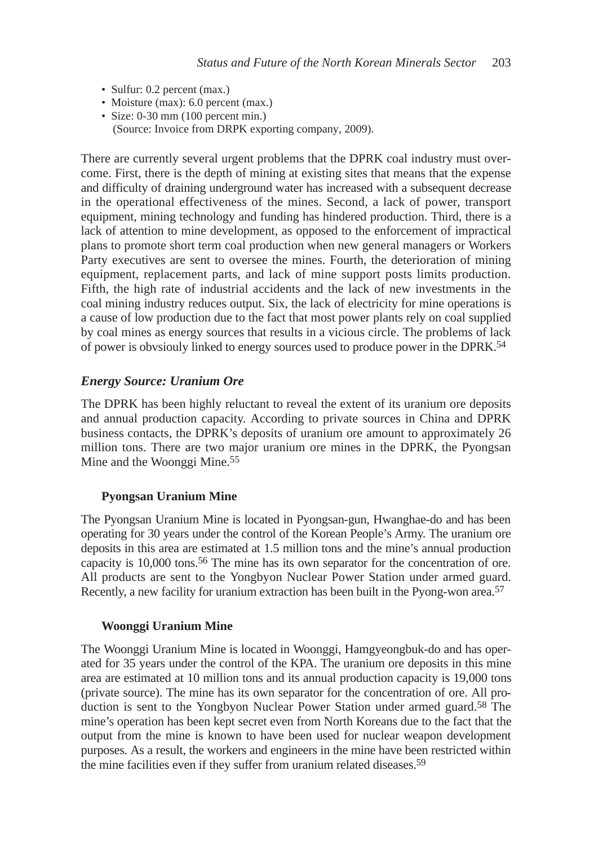- Sulfur: 0.2 percent (max.)
- Moisture (max): 6.0 percent (max.)
- Size: 0-30 mm (100 percent min.) (Source: Invoice from DRPK exporting company, 2009).

There are currently several urgent problems that the DPRK coal industry must overcome. First, there is the depth of mining at existing sites that means that the expense and difficulty of draining underground water has increased with a subsequent decrease in the operational effectiveness of the mines. Second, a lack of power, transport equipment, mining technology and funding has hindered production. Third, there is a lack of attention to mine development, as opposed to the enforcement of impractical plans to promote short term coal production when new general managers or Workers Party executives are sent to oversee the mines. Fourth, the deterioration of mining equipment, replacement parts, and lack of mine support posts limits production. Fifth, the high rate of industrial accidents and the lack of new investments in the coal mining industry reduces output. Six, the lack of electricity for mine operations is a cause of low production due to the fact that most power plants rely on coal supplied by coal mines as energy sources that results in a vicious circle. The problems of lack of power is obvsiouly linked to energy sources used to produce power in the DPRK.54

### *Energy Source: Uranium Ore*

The DPRK has been highly reluctant to reveal the extent of its uranium ore deposits and annual production capacity. According to private sources in China and DPRK business contacts, the DPRK's deposits of uranium ore amount to approximately 26 million tons. There are two major uranium ore mines in the DPRK, the Pyongsan Mine and the Woonggi Mine.55

#### **Pyongsan Uranium Mine**

The Pyongsan Uranium Mine is located in Pyongsan-gun, Hwanghae-do and has been operating for 30 years under the control of the Korean People's Army. The uranium ore deposits in this area are estimated at 1.5 million tons and the mine's annual production capacity is 10,000 tons.<sup>56</sup> The mine has its own separator for the concentration of ore. All products are sent to the Yongbyon Nuclear Power Station under armed guard. Recently, a new facility for uranium extraction has been built in the Pyong-won area.<sup>57</sup>

#### **Woonggi Uranium Mine**

The Woonggi Uranium Mine is located in Woonggi, Hamgyeongbuk-do and has operated for 35 years under the control of the KPA. The uranium ore deposits in this mine area are estimated at 10 million tons and its annual production capacity is 19,000 tons (private source). The mine has its own separator for the concentration of ore. All production is sent to the Yongbyon Nuclear Power Station under armed guard.<sup>58</sup> The mine's operation has been kept secret even from North Koreans due to the fact that the output from the mine is known to have been used for nuclear weapon development purposes. As a result, the workers and engineers in the mine have been restricted within the mine facilities even if they suffer from uranium related diseases.59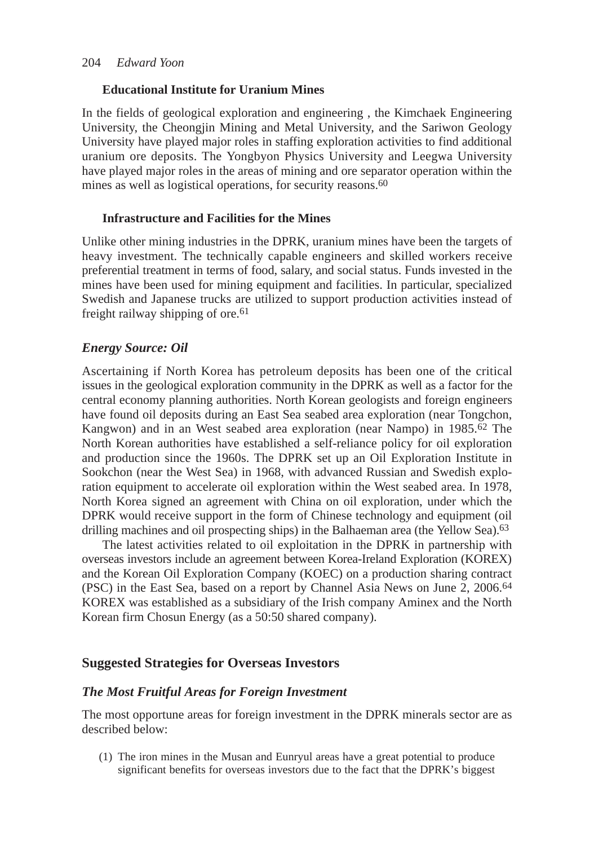## **Educational Institute for Uranium Mines**

In the fields of geological exploration and engineering , the Kimchaek Engineering University, the Cheongjin Mining and Metal University, and the Sariwon Geology University have played major roles in staffing exploration activities to find additional uranium ore deposits. The Yongbyon Physics University and Leegwa University have played major roles in the areas of mining and ore separator operation within the mines as well as logistical operations, for security reasons.60

## **Infrastructure and Facilities for the Mines**

Unlike other mining industries in the DPRK, uranium mines have been the targets of heavy investment. The technically capable engineers and skilled workers receive preferential treatment in terms of food, salary, and social status. Funds invested in the mines have been used for mining equipment and facilities. In particular, specialized Swedish and Japanese trucks are utilized to support production activities instead of freight railway shipping of ore.61

# *Energy Source: Oil*

Ascertaining if North Korea has petroleum deposits has been one of the critical issues in the geological exploration community in the DPRK as well as a factor for the central economy planning authorities. North Korean geologists and foreign engineers have found oil deposits during an East Sea seabed area exploration (near Tongchon, Kangwon) and in an West seabed area exploration (near Nampo) in 1985.62 The North Korean authorities have established a self-reliance policy for oil exploration and production since the 1960s. The DPRK set up an Oil Exploration Institute in Sookchon (near the West Sea) in 1968, with advanced Russian and Swedish exploration equipment to accelerate oil exploration within the West seabed area. In 1978, North Korea signed an agreement with China on oil exploration, under which the DPRK would receive support in the form of Chinese technology and equipment (oil drilling machines and oil prospecting ships) in the Balhaeman area (the Yellow Sea).<sup>63</sup>

The latest activities related to oil exploitation in the DPRK in partnership with overseas investors include an agreement between Korea-Ireland Exploration (KOREX) and the Korean Oil Exploration Company (KOEC) on a production sharing contract (PSC) in the East Sea, based on a report by Channel Asia News on June 2, 2006.64 KOREX was established as a subsidiary of the Irish company Aminex and the North Korean firm Chosun Energy (as a 50:50 shared company).

# **Suggested Strategies for Overseas Investors**

# *The Most Fruitful Areas for Foreign Investment*

The most opportune areas for foreign investment in the DPRK minerals sector are as described below:

(1) The iron mines in the Musan and Eunryul areas have a great potential to produce significant benefits for overseas investors due to the fact that the DPRK's biggest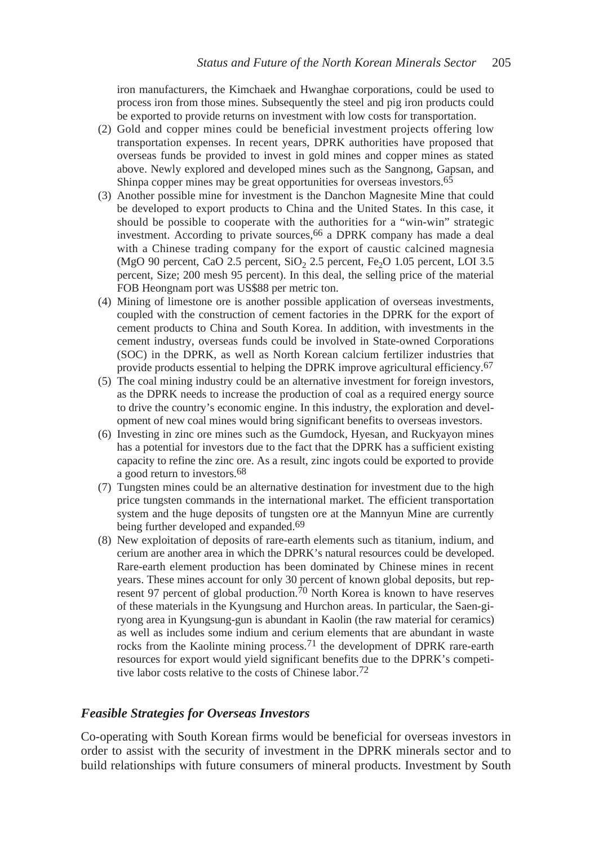iron manufacturers, the Kimchaek and Hwanghae corporations, could be used to process iron from those mines. Subsequently the steel and pig iron products could be exported to provide returns on investment with low costs for transportation.

- (2) Gold and copper mines could be beneficial investment projects offering low transportation expenses. In recent years, DPRK authorities have proposed that overseas funds be provided to invest in gold mines and copper mines as stated above. Newly explored and developed mines such as the Sangnong, Gapsan, and Shinpa copper mines may be great opportunities for overseas investors.65
- (3) Another possible mine for investment is the Danchon Magnesite Mine that could be developed to export products to China and the United States. In this case, it should be possible to cooperate with the authorities for a "win-win" strategic investment. According to private sources,<sup>66</sup> a DPRK company has made a deal with a Chinese trading company for the export of caustic calcined magnesia (MgO 90 percent, CaO 2.5 percent,  $SiO<sub>2</sub>$  2.5 percent, Fe<sub>2</sub>O 1.05 percent, LOI 3.5 percent, Size; 200 mesh 95 percent). In this deal, the selling price of the material FOB Heongnam port was US\$88 per metric ton.
- (4) Mining of limestone ore is another possible application of overseas investments, coupled with the construction of cement factories in the DPRK for the export of cement products to China and South Korea. In addition, with investments in the cement industry, overseas funds could be involved in State-owned Corporations (SOC) in the DPRK, as well as North Korean calcium fertilizer industries that provide products essential to helping the DPRK improve agricultural efficiency.67
- (5) The coal mining industry could be an alternative investment for foreign investors, as the DPRK needs to increase the production of coal as a required energy source to drive the country's economic engine. In this industry, the exploration and development of new coal mines would bring significant benefits to overseas investors.
- (6) Investing in zinc ore mines such as the Gumdock, Hyesan, and Ruckyayon mines has a potential for investors due to the fact that the DPRK has a sufficient existing capacity to refine the zinc ore. As a result, zinc ingots could be exported to provide a good return to investors.68
- (7) Tungsten mines could be an alternative destination for investment due to the high price tungsten commands in the international market. The efficient transportation system and the huge deposits of tungsten ore at the Mannyun Mine are currently being further developed and expanded.<sup>69</sup>
- (8) New exploitation of deposits of rare-earth elements such as titanium, indium, and cerium are another area in which the DPRK's natural resources could be developed. Rare-earth element production has been dominated by Chinese mines in recent years. These mines account for only 30 percent of known global deposits, but represent 97 percent of global production.<sup>70</sup> North Korea is known to have reserves of these materials in the Kyungsung and Hurchon areas. In particular, the Saen-giryong area in Kyungsung-gun is abundant in Kaolin (the raw material for ceramics) as well as includes some indium and cerium elements that are abundant in waste rocks from the Kaolinte mining process.<sup>71</sup> the development of DPRK rare-earth resources for export would yield significant benefits due to the DPRK's competitive labor costs relative to the costs of Chinese labor.72

#### *Feasible Strategies for Overseas Investors*

Co-operating with South Korean firms would be beneficial for overseas investors in order to assist with the security of investment in the DPRK minerals sector and to build relationships with future consumers of mineral products. Investment by South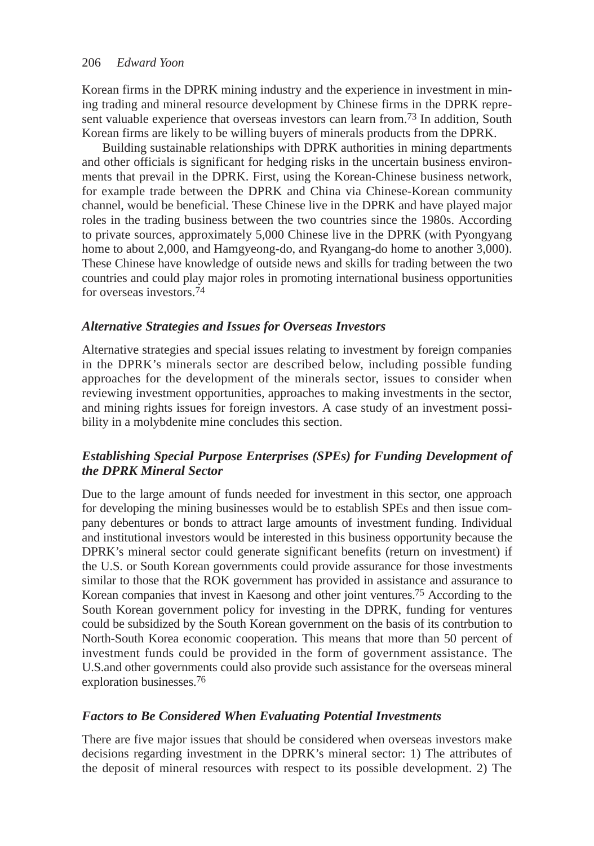Korean firms in the DPRK mining industry and the experience in investment in mining trading and mineral resource development by Chinese firms in the DPRK represent valuable experience that overseas investors can learn from.73 In addition, South Korean firms are likely to be willing buyers of minerals products from the DPRK.

Building sustainable relationships with DPRK authorities in mining departments and other officials is significant for hedging risks in the uncertain business environments that prevail in the DPRK. First, using the Korean-Chinese business network, for example trade between the DPRK and China via Chinese-Korean community channel, would be beneficial. These Chinese live in the DPRK and have played major roles in the trading business between the two countries since the 1980s. According to private sources, approximately 5,000 Chinese live in the DPRK (with Pyongyang home to about 2,000, and Hamgyeong-do, and Ryangang-do home to another 3,000). These Chinese have knowledge of outside news and skills for trading between the two countries and could play major roles in promoting international business opportunities for overseas investors.74

# *Alternative Strategies and Issues for Overseas Investors*

Alternative strategies and special issues relating to investment by foreign companies in the DPRK's minerals sector are described below, including possible funding approaches for the development of the minerals sector, issues to consider when reviewing investment opportunities, approaches to making investments in the sector, and mining rights issues for foreign investors. A case study of an investment possibility in a molybdenite mine concludes this section.

# *Establishing Special Purpose Enterprises (SPEs) for Funding Development of the DPRK Mineral Sector*

Due to the large amount of funds needed for investment in this sector, one approach for developing the mining businesses would be to establish SPEs and then issue company debentures or bonds to attract large amounts of investment funding. Individual and institutional investors would be interested in this business opportunity because the DPRK's mineral sector could generate significant benefits (return on investment) if the U.S. or South Korean governments could provide assurance for those investments similar to those that the ROK government has provided in assistance and assurance to Korean companies that invest in Kaesong and other joint ventures.75 According to the South Korean government policy for investing in the DPRK, funding for ventures could be subsidized by the South Korean government on the basis of its contrbution to North-South Korea economic cooperation. This means that more than 50 percent of investment funds could be provided in the form of government assistance. The U.S.and other governments could also provide such assistance for the overseas mineral exploration businesses.76

### *Factors to Be Considered When Evaluating Potential Investments*

There are five major issues that should be considered when overseas investors make decisions regarding investment in the DPRK's mineral sector: 1) The attributes of the deposit of mineral resources with respect to its possible development. 2) The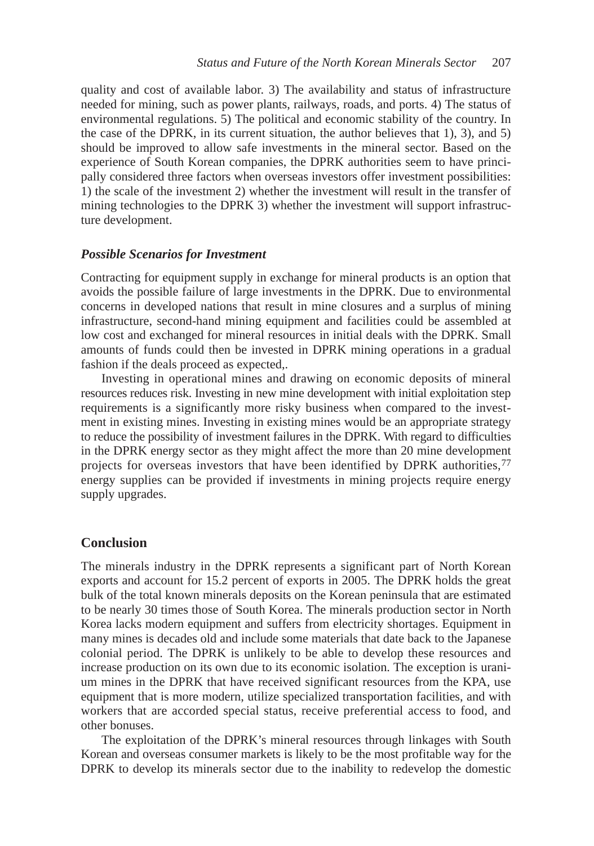quality and cost of available labor. 3) The availability and status of infrastructure needed for mining, such as power plants, railways, roads, and ports. 4) The status of environmental regulations. 5) The political and economic stability of the country. In the case of the DPRK, in its current situation, the author believes that 1), 3), and 5) should be improved to allow safe investments in the mineral sector. Based on the experience of South Korean companies, the DPRK authorities seem to have principally considered three factors when overseas investors offer investment possibilities: 1) the scale of the investment 2) whether the investment will result in the transfer of mining technologies to the DPRK 3) whether the investment will support infrastructure development.

#### *Possible Scenarios for Investment*

Contracting for equipment supply in exchange for mineral products is an option that avoids the possible failure of large investments in the DPRK. Due to environmental concerns in developed nations that result in mine closures and a surplus of mining infrastructure, second-hand mining equipment and facilities could be assembled at low cost and exchanged for mineral resources in initial deals with the DPRK. Small amounts of funds could then be invested in DPRK mining operations in a gradual fashion if the deals proceed as expected,.

Investing in operational mines and drawing on economic deposits of mineral resources reduces risk. Investing in new mine development with initial exploitation step requirements is a significantly more risky business when compared to the investment in existing mines. Investing in existing mines would be an appropriate strategy to reduce the possibility of investment failures in the DPRK. With regard to difficulties in the DPRK energy sector as they might affect the more than 20 mine development projects for overseas investors that have been identified by DPRK authorities,77 energy supplies can be provided if investments in mining projects require energy supply upgrades.

#### **Conclusion**

The minerals industry in the DPRK represents a significant part of North Korean exports and account for 15.2 percent of exports in 2005. The DPRK holds the great bulk of the total known minerals deposits on the Korean peninsula that are estimated to be nearly 30 times those of South Korea. The minerals production sector in North Korea lacks modern equipment and suffers from electricity shortages. Equipment in many mines is decades old and include some materials that date back to the Japanese colonial period. The DPRK is unlikely to be able to develop these resources and increase production on its own due to its economic isolation. The exception is uranium mines in the DPRK that have received significant resources from the KPA, use equipment that is more modern, utilize specialized transportation facilities, and with workers that are accorded special status, receive preferential access to food, and other bonuses.

The exploitation of the DPRK's mineral resources through linkages with South Korean and overseas consumer markets is likely to be the most profitable way for the DPRK to develop its minerals sector due to the inability to redevelop the domestic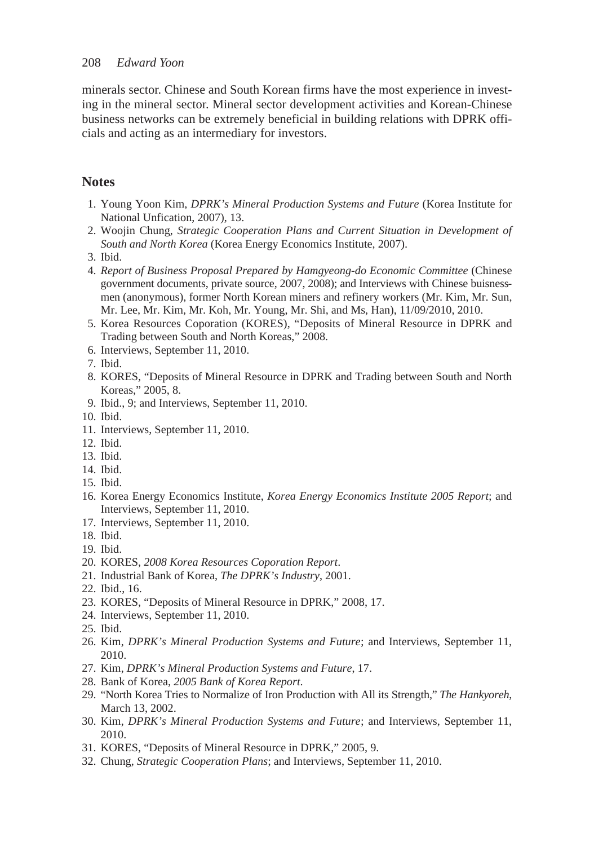minerals sector. Chinese and South Korean firms have the most experience in investing in the mineral sector. Mineral sector development activities and Korean-Chinese business networks can be extremely beneficial in building relations with DPRK officials and acting as an intermediary for investors.

## **Notes**

- 1. Young Yoon Kim, *DPRK's Mineral Production Systems and Future* (Korea Institute for National Unfication, 2007), 13.
- 2. Woojin Chung, *Strategic Cooperation Plans and Current Situation in Development of South and North Korea* (Korea Energy Economics Institute, 2007).
- 3. Ibid.
- 4. *Report of Business Proposal Prepared by Hamgyeong-do Economic Committee* (Chinese government documents, private source, 2007, 2008); and Interviews with Chinese buisnessmen (anonymous), former North Korean miners and refinery workers (Mr. Kim, Mr. Sun, Mr. Lee, Mr. Kim, Mr. Koh, Mr. Young, Mr. Shi, and Ms, Han), 11/09/2010, 2010.
- 5. Korea Resources Coporation (KORES), "Deposits of Mineral Resource in DPRK and Trading between South and North Koreas," 2008.
- 6. Interviews, September 11, 2010.
- 7. Ibid.
- 8. KORES, "Deposits of Mineral Resource in DPRK and Trading between South and North Koreas," 2005, 8.
- 9. Ibid., 9; and Interviews, September 11, 2010.
- 10. Ibid.
- 11. Interviews, September 11, 2010.
- 12. Ibid.
- 13. Ibid.
- 14. Ibid.
- 15. Ibid.
- 16. Korea Energy Economics Institute, *Korea Energy Economics Institute 2005 Report*; and Interviews, September 11, 2010.
- 17. Interviews, September 11, 2010.
- 18. Ibid.
- 19. Ibid.
- 20. KORES, *2008 Korea Resources Coporation Report*.
- 21. Industrial Bank of Korea, *The DPRK's Industry*, 2001.
- 22. Ibid., 16.
- 23. KORES, "Deposits of Mineral Resource in DPRK," 2008, 17.
- 24. Interviews, September 11, 2010.
- 25. Ibid.
- 26. Kim, *DPRK's Mineral Production Systems and Future*; and Interviews, September 11, 2010.
- 27. Kim, *DPRK's Mineral Production Systems and Future*, 17.
- 28. Bank of Korea, *2005 Bank of Korea Report*.
- 29. "North Korea Tries to Normalize of Iron Production with All its Strength," *The Hankyoreh*, March 13, 2002.
- 30. Kim, *DPRK's Mineral Production Systems and Future*; and Interviews, September 11, 2010.
- 31. KORES, "Deposits of Mineral Resource in DPRK," 2005, 9.
- 32. Chung, *Strategic Cooperation Plans*; and Interviews, September 11, 2010.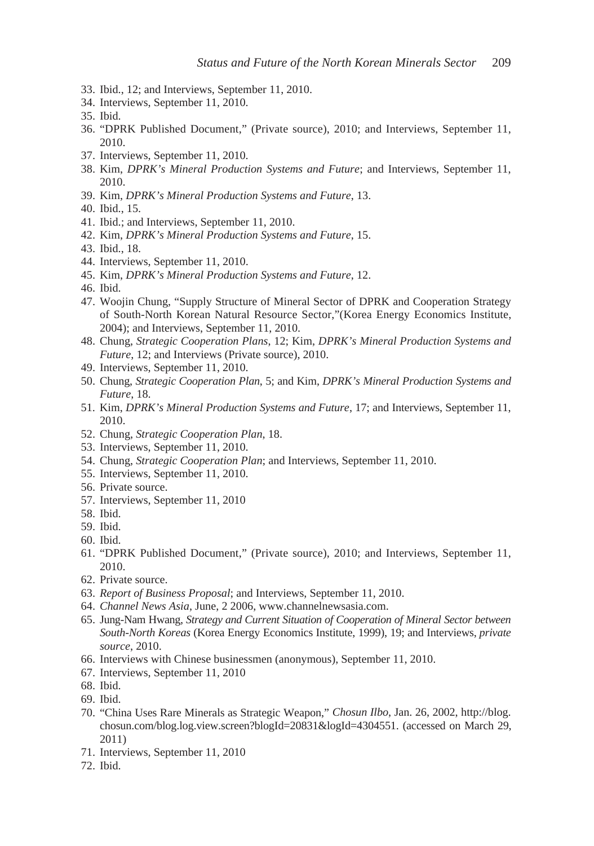- 33. Ibid., 12; and Interviews, September 11, 2010.
- 34. Interviews, September 11, 2010.
- 35. Ibid.
- 36. "DPRK Published Document," (Private source), 2010; and Interviews, September 11, 2010.
- 37. Interviews, September 11, 2010.
- 38. Kim, *DPRK's Mineral Production Systems and Future*; and Interviews, September 11, 2010.
- 39. Kim, *DPRK's Mineral Production Systems and Future*, 13.
- 40. Ibid., 15.
- 41. Ibid.; and Interviews, September 11, 2010.
- 42. Kim, *DPRK's Mineral Production Systems and Future*, 15.
- 43. Ibid., 18.
- 44. Interviews, September 11, 2010.
- 45. Kim, *DPRK's Mineral Production Systems and Future*, 12.
- 46. Ibid.
- 47. Woojin Chung, "Supply Structure of Mineral Sector of DPRK and Cooperation Strategy of South-North Korean Natural Resource Sector,"(Korea Energy Economics Institute, 2004); and Interviews, September 11, 2010.
- 48. Chung, *Strategic Cooperation Plans*, 12; Kim, *DPRK's Mineral Production Systems and Future*, 12; and Interviews (Private source), 2010.
- 49. Interviews, September 11, 2010.
- 50. Chung, *Strategic Cooperation Plan*, 5; and Kim, *DPRK's Mineral Production Systems and Future*, 18.
- 51. Kim, *DPRK's Mineral Production Systems and Future*, 17; and Interviews, September 11, 2010.
- 52. Chung, *Strategic Cooperation Plan*, 18.
- 53. Interviews, September 11, 2010.
- 54. Chung, *Strategic Cooperation Plan*; and Interviews, September 11, 2010.
- 55. Interviews, September 11, 2010.
- 56. Private source.
- 57. Interviews, September 11, 2010
- 58. Ibid.
- 59. Ibid.
- 60. Ibid.
- 61. "DPRK Published Document," (Private source), 2010; and Interviews, September 11, 2010.
- 62. Private source.
- 63. *Report of Business Proposal*; and Interviews, September 11, 2010.
- 64. *Channel News Asia*, June, 2 2006, www.channelnewsasia.com.
- 65. Jung-Nam Hwang, *Strategy and Current Situation of Cooperation of Mineral Sector between South-North Koreas* (Korea Energy Economics Institute, 1999), 19; and Interviews, *private source*, 2010.
- 66. Interviews with Chinese businessmen (anonymous), September 11, 2010.
- 67. Interviews, September 11, 2010
- 68. Ibid.
- 69. Ibid.
- 70. "China Uses Rare Minerals as Strategic Weapon," *Chosun Ilbo*, Jan. 26, 2002, http://blog. chosun.com/blog.log.view.screen?blogId=20831&logId=4304551. (accessed on March 29, 2011)
- 71. Interviews, September 11, 2010
- 72. Ibid.